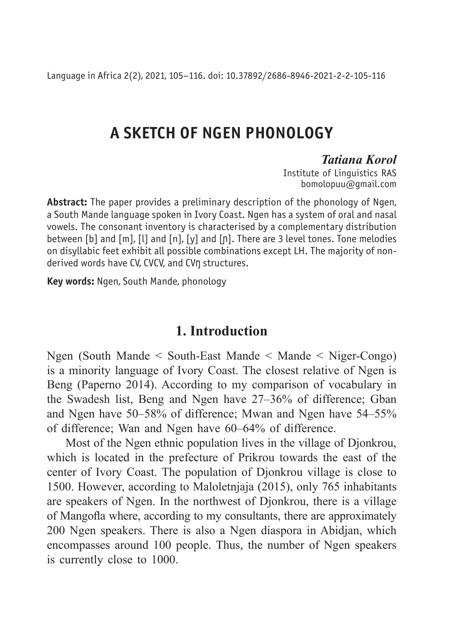Language in Africa 2(2), 2021, 105–116. doi: 10.37892/2686-8946-2021-2-2-105-116

# **A SKETCH OF NGEN PHONOLOGY**

#### *Tatiana Korol*

Institute of Linguistics RAS bomolopuu@gmail.com

**Abstract:** The paper provides a preliminary description of the phonology of Ngen, a South Mande language spoken in Ivory Coast. Ngen has a system of oral and nasal vowels. The consonant inventory is characterised by a complementary distribution between [b] and [m], [l] and [n], [y] and [ɲ]. There are 3 level tones. Tone melodies on disyllabic feet exhibit all possible combinations except LH. The majority of nonderived words have CV, CVCV, and CVŋ structures.

**Key words:** Ngen, South Mande, phonology

### **1. Introduction**

Ngen (South Mande < South-East Mande < Mande < Niger-Congo) is a minority language of Ivory Coast. The closest relative of Ngen is Beng (Paperno 2014). According to my comparison of vocabulary in the Swadesh list, Beng and Ngen have 27–36% of difference; Gban and Ngen have 50–58% of difference; Mwan and Ngen have 54–55% of difference; Wan and Ngen have 60–64% of difference.

Most of the Ngen ethnic population lives in the village of Djonkrou, which is located in the prefecture of Prikrou towards the east of the center of Ivory Coast. The population of Djonkrou village is close to 1500. However, according to Maloletnjaja (2015), only 765 inhabitants are speakers of Ngen. In the northwest of Djonkrou, there is a village of Mangofla where, according to my consultants, there are approximately 200 Ngen speakers. There is also a Ngen diaspora in Abidjan, which encompasses around 100 people. Thus, the number of Ngen speakers is currently close to 1000.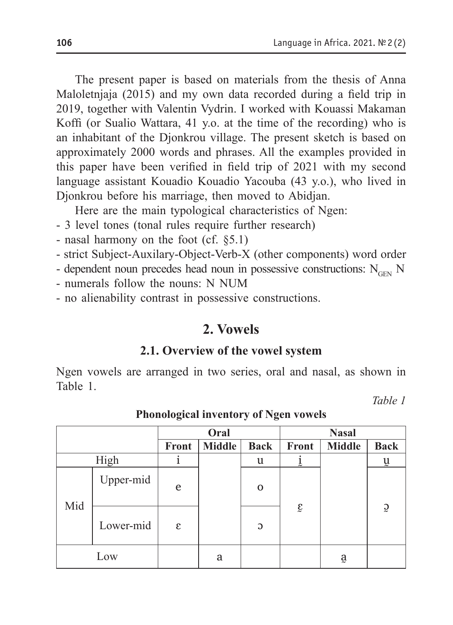The present paper is based on materials from the thesis of Anna Maloletnjaja (2015) and my own data recorded during a field trip in 2019, together with Valentin Vydrin. I worked with Kouassi Makaman Koffi (or Sualio Wattara, 41 y.o. at the time of the recording) who is an inhabitant of the Djonkrou village. The present sketch is based on approximately 2000 words and phrases. All the examples provided in this paper have been verified in field trip of 2021 with my second language assistant Kouadio Kouadio Yacouba (43 y.o.), who lived in Djonkrou before his marriage, then moved to Abidjan.

Here are the main typological characteristics of Ngen:

- 3 level tones (tonal rules require further research)
- nasal harmony on the foot (cf. §5.1)
- strict Subject-Auxilary-Object-Verb-X (other components) word order
- dependent noun precedes head noun in possessive constructions:  $N_{\text{GEN}}$  N
- numerals follow the nouns: N NUM
- no alienability contrast in possessive constructions.

# **2. Vowels**

#### **2.1. Overview of the vowel system**

Ngen vowels are arranged in two series, oral and nasal, as shown in Table 1.

*Table 1*

|      |           | Oral  |               |             | <b>Nasal</b> |               |                           |
|------|-----------|-------|---------------|-------------|--------------|---------------|---------------------------|
|      |           | Front | <b>Middle</b> | <b>Back</b> | Front        | <b>Middle</b> | <b>Back</b>               |
| High |           |       |               | u           | $\ddot{r}$   |               | $\overline{\mathfrak{u}}$ |
| Mid  | Upper-mid | e     |               | $\Omega$    |              |               |                           |
|      | Lower-mid | ε     |               | C           | $\hat{\xi}$  |               | $\tilde{S}$               |
| Low  |           |       | a             |             |              | ą             |                           |

#### **Phonological inventory of Ngen vowels**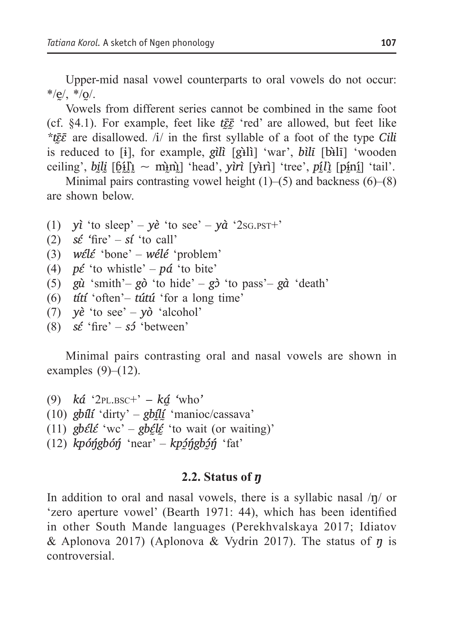Upper-mid nasal vowel counterparts to oral vowels do not occur:  $*$ /e/,  $*$ /o/.

Vowels from different series cannot be combined in the same foot (cf. §4.1). For example, feet like *tɛ̰̄ɛ̰̄* 'red' are allowed, but feet like *\*tɛ̰̄ɛ̄* are disallowed. /i/ in the first syllable of a foot of the type *Cili* is reduced to [ɨ], for example, *gìlì* [gɨ̀lì] 'war', *bìlī* [bɨ̀lī] 'wooden ceiling', *bili*  $[\underline{\text{61}}] \sim \text{min}$ ] 'head', *yirì* [yi·rì] 'tree', *pili* [pini] 'tail'.

Minimal pairs contrasting vowel height  $(1)$ –(5) and backness  $(6)$ – $(8)$ are shown below.

- (1) *yì* 'to sleep'  $y\hat{e}$  'to see'  $y\hat{a}$  '2sg.ps $T^+$ '
- (2)  $s\acute{\epsilon}$  'fire'  $s\acute{\iota}$  'to call'
- (3) *wɛ́lɛ́* 'bone' *wélé* 'problem'
- (4)  $p\text{\textit{t}}$  'to whistle'  $p\text{\textit{d}}$  'to bite'
- (5) *gù* 'smith'– *gò* 'to hide' *gɔ̀* 'to pass'– *gà* 'death'
- (6) *títí* 'often'– *tútú* 'for a long time'
- (7) *yè* 'to see' *yò* 'alcohol'
- (8)  $s\acute{\epsilon}$  'fire'  $s\acute{\epsilon}$  'between'

Minimal pairs contrasting oral and nasal vowels are shown in examples  $(9)$ – $(12)$ .

- (9) *ká* '2pl.bsc+' *ká̰ '*who*'*
- (10) *gbílí* 'dirty' *gbḭ́lḭ́* 'manioc/cassava'
- (11)  $\oint$ *gbɛ̃lɛ̃* 'wc' *gbɛ̃lɛ̃* 'to wait (or waiting)'
- (12) *kpóŋ́gbóŋ́* 'near' *kpɔ̰́ŋ́gbɔ̰́ŋ́* 'fat'

#### **2.2. Status of** *ŋ*

In addition to oral and nasal vowels, there is a syllabic nasal  $/p/$  or 'zero aperture vowel' (Bearth 1971: 44), which has been identified in other South Mande languages (Perekhvalskaya 2017; Idiatov & Aplonova 2017) (Aplonova & Vydrin 2017). The status of *ŋ* is controversial.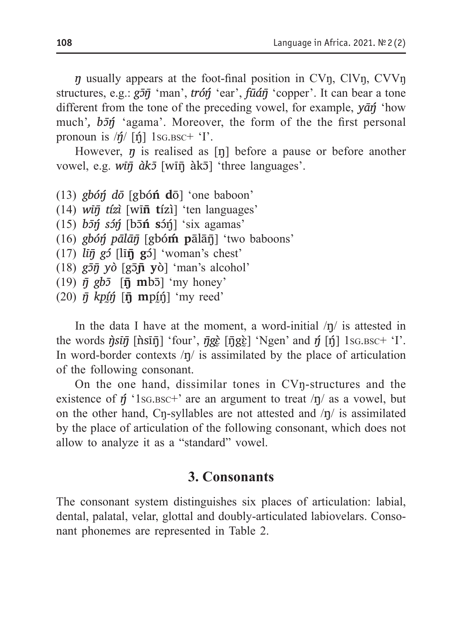*ŋ* usually appears at the foot-final position in CVŋ, ClVŋ, CVVŋ structures, e.g.: *gɔ̄ŋ̄* 'man', *tróŋ́* 'ear', *fūáŋ̄* 'copper'. It can bear a tone different from the tone of the preceding vowel, for example, *yāŋ́* 'how much',  $b\overline{z}$  'agama'. Moreover, the form of the the first personal pronoun is  $/\eta/$  [n<sup>ot</sup>] 1sg.bsc+  $\gamma$ <sup>1</sup>.

However, *ŋ* is realised as [ŋ] before a pause or before another vowel, e.g. *wīŋ̄ àkɔ̄* [wīŋ̄ àkɔ̄] 'three languages'.

- (13) *gbóŋ́ dō* [gbó**ń d**ō] 'one baboon'
- (14) *wīŋ̄ tízì* [wī**n̄ t**ízì] 'ten languages'
- (15) *bɔ̄ŋ́ sɔ́ŋ́* [bɔ̄**ń s**ɔ́ŋ́] 'six agamas'
- (16) *gbóŋ́ pālāŋ̄* [gbó**ḿ p**ālāŋ̄] 'two baboons'
- (17) *līŋ̄ gɔ́* [lī**ŋ̄g**ɔ́] 'woman's chest'
- (18) *gɔ̄ŋ̄ yò* [gɔ̄**ɲ̄ y**ò] 'man's alcohol'
- $(19)$   $\bar{\eta}$   $gb\bar{\delta}$  [ $\bar{\eta}$  mb<sub>5</sub>] 'my honey'
- $(20)$   $\bar{\eta}$  kp $\hat{y}$  $\hat{\eta}$  **[n**] mp $\hat{y}$  $\hat{\eta}$  'my reed'

In the data I have at the moment, a word-initial  $/\eta$  is attested in the words  $\hat{\eta}$ *sīŋ̃* [n̂sīŋ̄] 'four',  $\bar{\eta}$ *g*ĝ $\left[$   $\bar{\eta}$ *g*ĝ $\right]$  'Ngen' and  $\hat{\eta}$  [ŋ̃] 1sg.bsc+ 'I'. In word-border contexts  $\eta$  is assimilated by the place of articulation of the following consonant.

On the one hand, dissimilar tones in CVŋ-structures and the existence of  $\eta$ <sup>'</sup> 1s<sub>G</sub>, Bsc<sup>+</sup>' are an argument to treat  $/\eta$  as a vowel, but on the other hand, Cn-syllables are not attested and  $/\eta$  is assimilated by the place of articulation of the following consonant, which does not allow to analyze it as a "standard" vowel.

#### **3. Consonants**

The consonant system distinguishes six places of articulation: labial, dental, palatal, velar, glottal and doubly-articulated labiovelars. Consonant phonemes are represented in Table 2.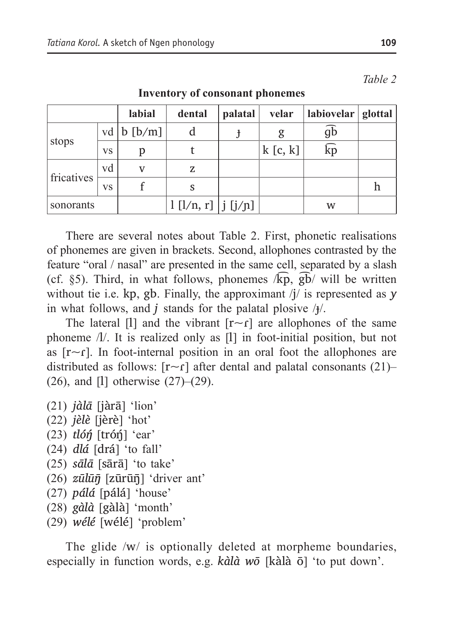|            |    | labial         | dental                 | palatal | velar   | labiovelar   glottal    |  |
|------------|----|----------------|------------------------|---------|---------|-------------------------|--|
| stops      |    | vd   b $[b/m]$ | d                      |         | g       | $\overline{gb}$         |  |
|            | VS | р              |                        |         | k[c, k] | $\widehat{\mathrm{kp}}$ |  |
| fricatives | vd | v              | z                      |         |         |                         |  |
|            | VS |                | S                      |         |         |                         |  |
| sonorants  |    |                | $1$ [l/n, r]   j [j/n] |         |         | w                       |  |

**Inventory of consonant phonemes**

There are several notes about Table 2. First, phonеtic realisations of phonemes are given in brackets. Second, allophones contrasted by the feature "oral / nasal" are presented in the same cell, separated by a slash (cf.  $\S5$ ). Third, in what follows, phonemes  $\sqrt{k}p$ ,  $\overline{gb}$  will be written without tie i.e. kp, gb. Finally, the approximant /j/ is represented as *y* in what follows, and *j* stands for the palatal plosive /ɟ/.

The lateral [I] and the vibrant  $[r \sim r]$  are allophones of the same phoneme /l/. It is realized only as [l] in foot-initial position, but not as  $[r \sim r]$ . In foot-internal position in an oral foot the allophones are distributed as follows: [r~ɾ] after dental and palatal consonants (21)– (26), and [l] otherwise (27)–(29).

- (21) *jàlā* [jàrā] 'lion'
- (22) *jèlè* [jèrè] 'hot'
- (23) *tlóŋ́* [tróŋ́] 'ear'
- (24) *dlá* [drá] 'to fall'
- (25) *sālā* [sārā] 'to take'
- (26) *zūlūŋ̄* [zūrūŋ̄] 'driver ant'
- (27) *pálá* [pálá] 'house'
- (28) *gàlà* [gàlà] 'month'
- (29) *wélé* [wélé] 'problem'

The glide /w/ is optionally deleted at morpheme boundaries, especially in function words, e.g. *kàlà wō* [kàlà ō] 'to put down'.

*Table 2*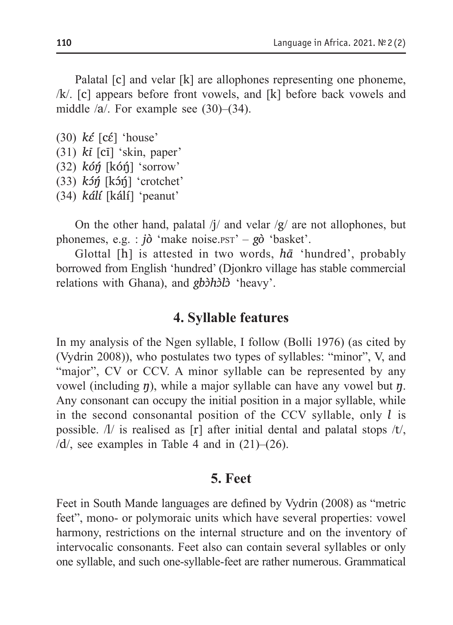Palatal [c] and velar [k] are allophones representing one phoneme, /k/. [c] appears before front vowels, and [k] before back vowels and middle /a/. For example see (30)–(34).

- $(30)$  *k* $\epsilon$ <sup>[</sup> [c $\epsilon$ <sup>[</sup>] 'house'
- (31) *kī* [cī] 'skin, paper'
- (32) *kóŋ́* [kóŋ́] 'sorrow'
- (33) *kɔ́ŋ́* [kɔ́ŋ́] 'crotchet'
- (34) *kálí* [kálí] 'peanut'

On the other hand, palatal  $/j/$  and velar  $/g/$  are not allophones, but phonemes, e.g. :  $i\delta$  'make noise.pst' –  $g\delta$  'basket'.

Glottal [h] is attested in two words, *hā* 'hundred', probably borrowed from English 'hundred' (Djonkro village has stable commercial relations with Ghana), and *gbɔ̀hɔ̀lɔ̀* 'heavy'.

### **4. Syllable features**

In my analysis of the Ngen syllable, I follow (Bolli 1976) (as cited by (Vydrin 2008)), who postulates two types of syllables: "minor", V, and "major", CV or CCV. A minor syllable can be represented by any vowel (including *ŋ*), while a major syllable can have any vowel but *ŋ*. Any consonant can occupy the initial position in a major syllable, while in the second consonantal position of the CCV syllable, only *l* is possible.  $\Lambda$  is realised as [r] after initial dental and palatal stops  $\Lambda t$ ,  $/d$ , see examples in Table 4 and in  $(21)$ – $(26)$ .

### **5. Feet**

Feet in South Mande languages are defined by Vydrin (2008) as "metric feet", mono- or polymoraic units which have several properties: vowel harmony, restrictions on the internal structure and on the inventory of intervocalic consonants. Feet also can contain several syllables or only one syllable, and such one-syllable-feet are rather numerous. Grammatical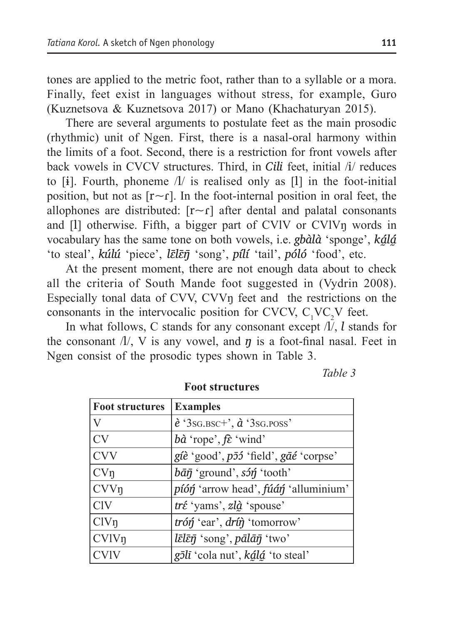tones are applied to the metric foot, rather than to a syllable or a mora. Finally, feet exist in languages without stress, for example, Guro (Kuznetsova & Kuznetsova 2017) or Mano (Khachaturyan 2015).

There are several arguments to postulate feet as the main prosodic (rhythmic) unit of Ngen. First, there is a nasal-oral harmony within the limits of a foot. Second, there is a restriction for front vowels after back vowels in CVCV structures. Third, in *Cili* feet, initial /i/ reduces to  $[i]$ . Fourth, phoneme  $\Lambda$  is realised only as  $[1]$  in the foot-initial position, but not as  $[r \sim r]$ . In the foot-internal position in oral feet, the allophones are distributed:  $[r \sim r]$  after dental and palatal consonants and [l] otherwise. Fifth, a bigger part of CVlV or CVlVŋ words in vocabulary has the same tone on both vowels, i.e. *gbàlà* 'sponge', *kálá* 'to steal', *kúlú* 'piece', *lɛ̄lɛ̄ŋ̄* 'song', *pílí* 'tail', *póló* 'food', etc.

At the present moment, there are not enough data about to check all the criteria of South Mande foot suggested in (Vydrin 2008). Especially tonal data of CVV, CVVŋ feet and the restrictions on the consonants in the intervocalic position for CVCV,  $C_1VC_2V$  feet.

In what follows, C stands for any consonant except /l/, *l* stands for the consonant  $\Lambda$ , V is any vowel, and  $\eta$  is a foot-final nasal. Feet in Ngen consist of the prosodic types shown in Table 3.

*Table 3*

| <b>Foot structures</b> | <b>Examples</b>                                                                             |
|------------------------|---------------------------------------------------------------------------------------------|
| V                      | $\grave{e}$ '3sg. BSC+', $\grave{a}$ '3sg. POSS'                                            |
| CV                     | $b\hat{a}$ 'rope', $f\hat{\epsilon}$ 'wind'                                                 |
| <b>CVV</b>             | giè 'good', p55 'field', gāé 'corpse'                                                       |
| CVn                    | $b\bar{a}\bar{\eta}$ 'ground', $s5\eta$ 'tooth'                                             |
| CVV <sub>η</sub>       | píóń 'arrow head', fúán 'alluminium'                                                        |
| <b>CIV</b>             | tré 'yams', zlà 'spouse'                                                                    |
| ClV <sub>n</sub>       | trón 'ear', drín 'tomorrow'                                                                 |
| CVIVn                  | $l\bar{\varepsilon}l\bar{\varepsilon}\bar{\eta}$ 'song', $p\bar{a}l\bar{a}\bar{\eta}$ 'two' |
| <b>CVIV</b>            | gīlī 'cola nut', kálá 'to steal'                                                            |

**Foot structures**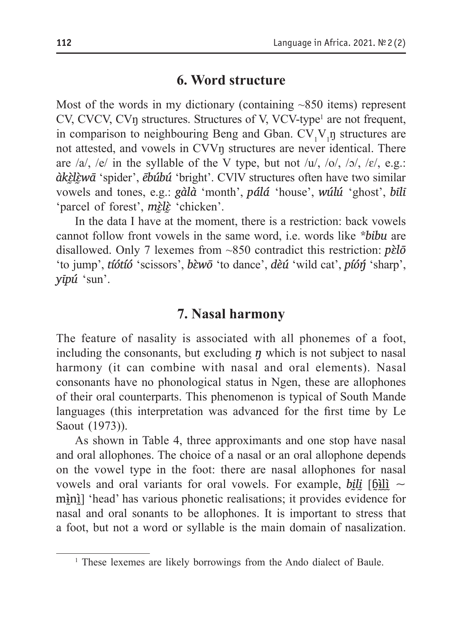### **6. Word structure**

Most of the words in my dictionary (containing ~850 items) represent CV, CVCV, CVŋ structures. Structures of V, VCV-type<sup>1</sup> are not frequent, in comparison to neighbouring Beng and Gban.  $CV_1V_1$ n structures are not attested, and vowels in CVVŋ structures are never identical. There are /a/, /e/ in the syllable of the V type, but not /u/, /o/, /ɔ/, /ɛ/, e.g.: *àkɛ̰̀lɛ̰̀wā* 'spider', *ēbúbú* 'bright'. CVlV structures often have two similar vowels and tones, e.g.: *gàlà* 'month', *pálá* 'house', *wúlú* 'ghost', *bīlī* 'parcel of forest', *mɛ̰̀lɛ̰̀* 'chicken'.

In the data I have at the moment, there is a restriction: back vowels cannot follow front vowels in the same word, i.e. words like *\*bibu* are disallowed. Only 7 lexemes from ~850 contradict this restriction:  $p\grave{\epsilon}l\bar{\sigma}$ 'to jump', *tíótíó* 'scissors', *bɛ̀wō* 'to dance', *dèú* 'wild cat', *píóŋ́* 'sharp', *yīpú* 'sun'.

# **7. Nasal harmony**

The feature of nasality is associated with all phonemes of a foot, including the consonants, but excluding  $\eta$  which is not subject to nasal harmony (it can combine with nasal and oral elements). Nasal consonants have no phonological status in Ngen, these are allophones of their oral counterparts. This phenomenon is typical of South Mande languages (this interpretation was advanced for the first time by Le Saout (1973)).

As shown in Table 4, three approximants and one stop have nasal and oral allophones. The choice of a nasal or an oral allophone depends on the vowel type in the foot: there are nasal allophones for nasal vowels and oral variants for oral vowels. For example, *bili* [ $\delta$ ilì ~ mini] 'head' has various phonetic realisations; it provides evidence for nasal and oral sonants to be allophones. It is important to stress that a foot, but not a word or syllable is the main domain of nasalization.

<sup>&</sup>lt;sup>1</sup> These lexemes are likely borrowings from the Ando dialect of Baule.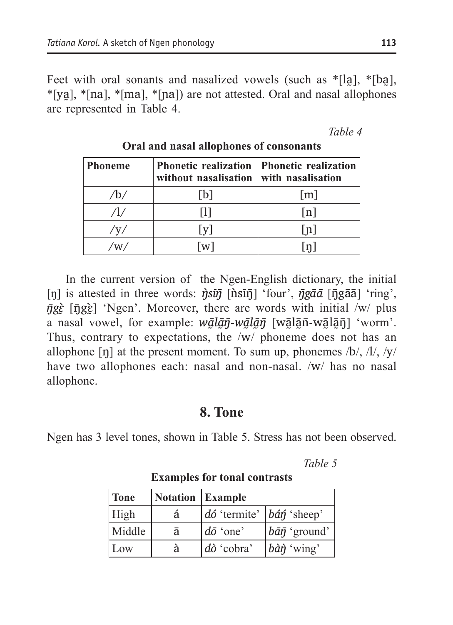Feet with oral sonants and nasalized vowels (such as \*[la], \*[ba], \*[ya̰], \*[na], \*[ma], \*[ɲa]) are not attested. Oral and nasal allophones are represented in Table 4.

*Table 4*

| <b>Phoneme</b> | <b>Phonetic realization Phonetic realization</b><br>without nasalisation with nasalisation |                   |
|----------------|--------------------------------------------------------------------------------------------|-------------------|
|                | l b l                                                                                      | $\lceil m \rceil$ |
|                |                                                                                            | n                 |
| 'V'            | l v l                                                                                      | l n l             |
|                | [w]                                                                                        |                   |

**Oral and nasal allophones of consonants**

In the current version of the Ngen-English dictionary, the initial [ŋ] is attested in three words:  $\vec{\eta}$ *sū*j [n̂sīn̄] 'four',  $\vec{\eta}$ *gāā* [ŋ̄gāā] 'ring',  $\bar{\eta}g\dot{\varepsilon}$  [ $\bar{\eta}g\dot{\varepsilon}$ ] 'Ngen'. Moreover, there are words with initial /w/ plus a nasal vowel, for example:  $w\bar{a}l\bar{a}\bar{\eta}$ -wā $l\bar{a}\bar{\eta}$  [wālān̄-wālān̄] 'worm'. Thus, contrary to expectations, the /w/ phoneme does not has an allophone  $[\eta]$  at the present moment. To sum up, phonemes  $\Delta/2$ ,  $\Delta/2$ ,  $\Delta/2$ have two allophones each: nasal and non-nasal. /w/ has no nasal allophone.

# **8. Tone**

Ngen has 3 level tones, shown in Table 5. Stress has not been observed.

*Table 5*

| Tone   | <b>Notation</b> Example |                                                           |                                      |
|--------|-------------------------|-----------------------------------------------------------|--------------------------------------|
| High   | â                       | $\vert d\acute{o}$ 'termite' $\vert b d\acute{n}$ 'sheep' |                                      |
| Middle |                         | $\vert d\bar{\sigma}$ 'one'                               | $ \bar{b}\bar{a}\bar{\eta}$ 'ground' |
| Low    | à                       | $\vert d\hat{o}$ 'cobra'                                  | $b\hat{a}\hat{\eta}$ 'wing'          |

**Examples for tonal contrasts**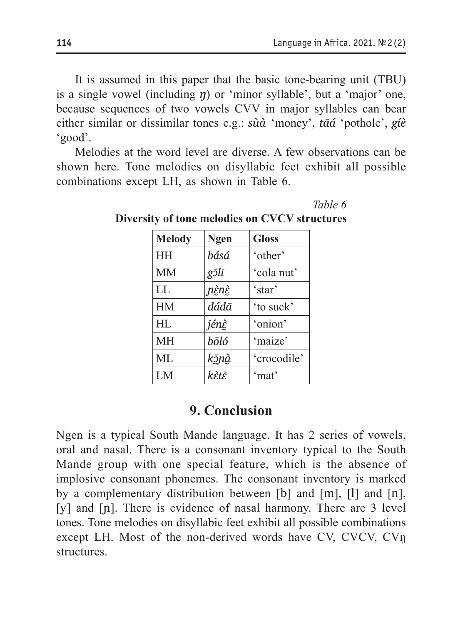*Table 6*

It is assumed in this paper that the basic tone-bearing unit (TBU) is a single vowel (including  $\eta$ ) or 'minor syllable', but a 'major' one, because sequences of two vowels CVV in major syllables can bear either similar or dissimilar tones e.g.: *sùà* 'money', *tāá* 'pothole', *gíè* 'good'.

Melodies at the word level are diverse. A few observations can be shown here. Tone melodies on disyllabic feet exhibit all possible combinations except LH, as shown in Table 6.

**Melody Ngen Gloss** HH *básá* 'other' MM *gɔ̄lī* 'cola nut' LL *ɲɛ̰̀nɛ̰̀* 'star' HM *dádā* 'to suck' HL *jénɛ̰̀* 'onion' MH *bōló* 'maize' ML *kɔ̰̄ɲà̰* 'crocodile' LM *kɛ̀tɛ̄* 'mat'

**Diversity of tone melodies on CVCV structures**

# **9. Conclusion**

Ngen is a typical South Mande language. It has 2 series of vowels, oral and nasal. There is a consonant inventory typical to the South Mande group with one special feature, which is the absence of implosive consonant phonemes. The consonant inventory is marked by a complementary distribution between [b] and [m], [l] and [n], [y] and [n]. There is evidence of nasal harmony. There are 3 level tones. Tone melodies on disyllabic feet exhibit all possible combinations except LH. Most of the non-derived words have CV, CVCV, CVŋ structures.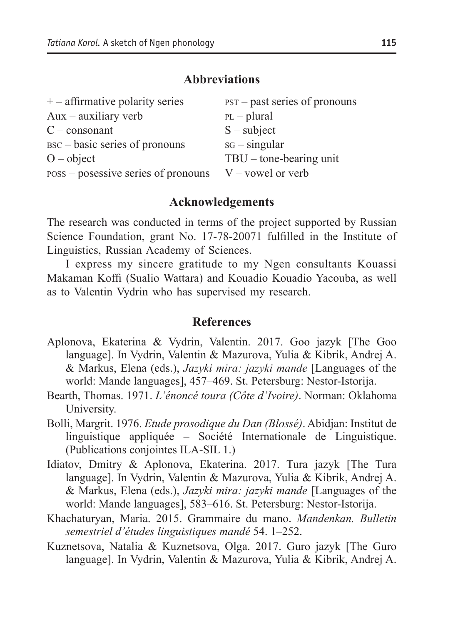#### **Abbreviations**

| $+$ – affirmative polarity series   | $PST - past series of pronouns$ |
|-------------------------------------|---------------------------------|
| $Aux -auxiliary$ verb               | $PL$ - plural                   |
| $C$ – consonant                     | $S$ – subject                   |
| BSC – basic series of pronouns      | $sG$ – singular                 |
| $O - object$                        | $TBU$ – tone-bearing unit       |
| poss – posessive series of pronouns | $V$ – vowel or verb             |

#### **Acknowledgements**

The research was conducted in terms of the project supported by Russian Science Foundation, grant No. 17-78-20071 fulfilled in the Institute of Linguistics, Russian Academy of Sciences.

I express my sincere gratitude to my Ngen consultants Kouassi Makaman Koffi (Sualio Wattara) and Kouadio Kouadio Yacouba, as well as to Valentin Vydrin who has supervised my research.

#### **References**

- Aplonova, Ekaterina & Vydrin, Valentin. 2017. Goo jazyk [The Goo language]. In Vydrin, Valentin & Mazurova, Yulia & Kibrik, Andrej A. & Markus, Elena (eds.), *Jazyki mira: jazyki mande* [Languages of the world: Mande languages], 457–469. St. Petersburg: Nestor-Istorija.
- Bearth, Thomas. 1971. *L'énoncé toura (Côte d'Ivoire)*. Norman: Oklahoma University.
- Bolli, Margrit. 1976. *Etude prosodique du Dan (Blossé)*. Abidjan: Institut de linguistique appliquée – Société Internationale de Linguistique. (Publications conjointes ILA-SIL 1.)
- Idiatov, Dmitry & Aplonova, Ekaterina. 2017. Tura jazyk [The Tura language]. In Vydrin, Valentin & Mazurova, Yulia & Kibrik, Andrej A. & Markus, Elena (eds.), *Jazyki mira: jazyki mande* [Languages of the world: Mande languages], 583–616. St. Petersburg: Nestor-Istorija.
- Khachaturyan, Maria. 2015. Grammaire du mano. *Mandenkan. Bulletin semestriel d'études linguistiques mandé* 54. 1–252.
- Kuznetsova, Natalia & Kuznetsova, Olga. 2017. Guro jazyk [The Guro language]. In Vydrin, Valentin & Mazurova, Yulia & Kibrik, Andrej A.